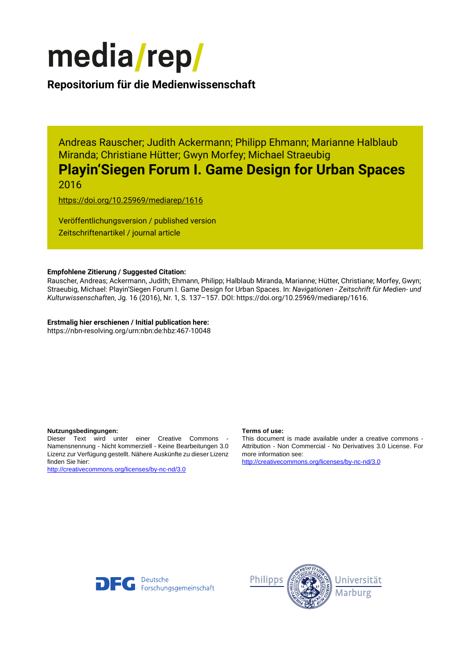

## **Repositorium für die [Medienwissenschaft](https://mediarep.org)**

Andreas Rauscher; Judith Ackermann; Philipp Ehmann; Marianne Halblaub Miranda; Christiane Hütter; Gwyn Morfey; Michael Straeubig

# **Playin'Siegen Forum I. Game Design for Urban Spaces** 2016

<https://doi.org/10.25969/mediarep/1616>

Veröffentlichungsversion / published version Zeitschriftenartikel / journal article

#### **Empfohlene Zitierung / Suggested Citation:**

Rauscher, Andreas; Ackermann, Judith; Ehmann, Philipp; Halblaub Miranda, Marianne; Hütter, Christiane; Morfey, Gwyn; Straeubig, Michael: Playin'Siegen Forum I. Game Design for Urban Spaces. In: *Navigationen - Zeitschrift für Medien- und Kulturwissenschaften*, Jg. 16 (2016), Nr. 1, S. 137–157. DOI: https://doi.org/10.25969/mediarep/1616.

## **Erstmalig hier erschienen / Initial publication here:**

https://nbn-resolving.org/urn:nbn:de:hbz:467-10048

#### **Nutzungsbedingungen: Terms of use:**

Dieser Text wird unter einer Creative Commons - Namensnennung - Nicht kommerziell - Keine Bearbeitungen 3.0 Lizenz zur Verfügung gestellt. Nähere Auskünfte zu dieser Lizenz finden Sie hier:

<http://creativecommons.org/licenses/by-nc-nd/3.0>

This document is made available under a creative commons - Attribution - Non Commercial - No Derivatives 3.0 License. For more information see:

<http://creativecommons.org/licenses/by-nc-nd/3.0>



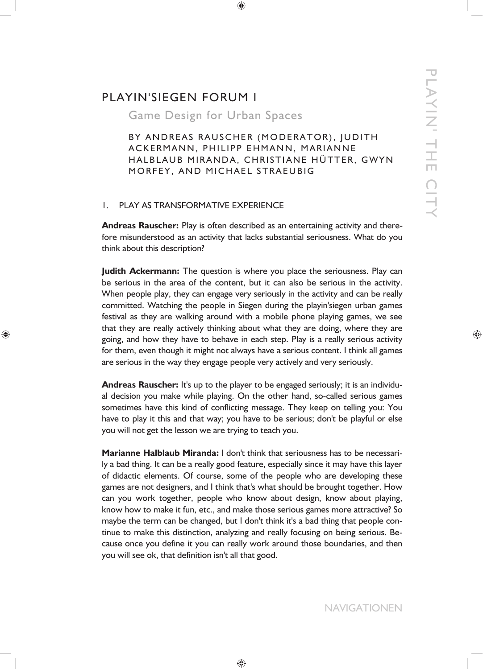# PLAYIN'SIEGEN FORUM I

Game Design for Urban Spaces

BY ANDREAS RAUSCHER (MODERATOR), JUDITH ACKERMANN, PHILIPP EHMANN, MARIANNE HALBLAUB MIRANDA, CHRISTIANE HÜTTER, GWYN MORFEY, AND MICHAEL STRAEUBIG

## 1. PLAY AS TRANSFORMATIVE EXPERIENCE

**Andreas Rauscher:** Play is often described as an entertaining activity and therefore misunderstood as an activity that lacks substantial seriousness. What do you think about this description?

**Judith Ackermann:** The question is where you place the seriousness. Play can be serious in the area of the content, but it can also be serious in the activity. When people play, they can engage very seriously in the activity and can be really committed. Watching the people in Siegen during the playin'siegen urban games festival as they are walking around with a mobile phone playing games, we see that they are really actively thinking about what they are doing, where they are going, and how they have to behave in each step. Play is a really serious activity for them, even though it might not always have a serious content. I think all games are serious in the way they engage people very actively and very seriously.

**Andreas Rauscher:** It's up to the player to be engaged seriously; it is an individual decision you make while playing. On the other hand, so-called serious games sometimes have this kind of conflicting message. They keep on telling you: You have to play it this and that way; you have to be serious; don't be playful or else you will not get the lesson we are trying to teach you.

**Marianne Halblaub Miranda:** I don't think that seriousness has to be necessarily a bad thing. It can be a really good feature, especially since it may have this layer of didactic elements. Of course, some of the people who are developing these games are not designers, and I think that's what should be brought together. How can you work together, people who know about design, know about playing, know how to make it fun, etc., and make those serious games more attractive? So maybe the term can be changed, but I don't think it's a bad thing that people continue to make this distinction, analyzing and really focusing on being serious. Because once you define it you can really work around those boundaries, and then you will see ok, that definition isn't all that good.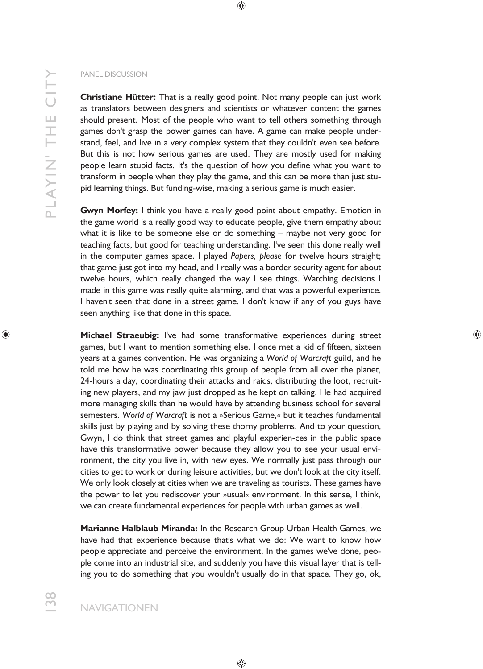**Christiane Hütter:** That is a really good point. Not many people can just work as translators between designers and scientists or whatever content the games should present. Most of the people who want to tell others something through games don't grasp the power games can have. A game can make people understand, feel, and live in a very complex system that they couldn't even see before. But this is not how serious games are used. They are mostly used for making people learn stupid facts. It's the question of how you define what you want to transform in people when they play the game, and this can be more than just stupid learning things. But funding-wise, making a serious game is much easier.

**Gwyn Morfey:** I think you have a really good point about empathy. Emotion in the game world is a really good way to educate people, give them empathy about what it is like to be someone else or do something – maybe not very good for teaching facts, but good for teaching understanding. I've seen this done really well in the computer games space. I played *Papers, please* for twelve hours straight; that game just got into my head, and I really was a border security agent for about twelve hours, which really changed the way I see things. Watching decisions I made in this game was really quite alarming, and that was a powerful experience. I haven't seen that done in a street game. I don't know if any of you guys have seen anything like that done in this space.

**Michael Straeubig:** I've had some transformative experiences during street games, but I want to mention something else. I once met a kid of fifteen, sixteen years at a games convention. He was organizing a *World of Warcraft* guild, and he told me how he was coordinating this group of people from all over the planet, 24-hours a day, coordinating their attacks and raids, distributing the loot, recruiting new players, and my jaw just dropped as he kept on talking. He had acquired more managing skills than he would have by attending business school for several semesters. *World of Warcraft* is not a »Serious Game,« but it teaches fundamental skills just by playing and by solving these thorny problems. And to your question, Gwyn, I do think that street games and playful experien-ces in the public space have this transformative power because they allow you to see your usual environment, the city you live in, with new eyes. We normally just pass through our cities to get to work or during leisure activities, but we don't look at the city itself. We only look closely at cities when we are traveling as tourists. These games have the power to let you rediscover your »usual« environment. In this sense, I think, we can create fundamental experiences for people with urban games as well.

**Marianne Halblaub Miranda:** In the Research Group Urban Health Games, we have had that experience because that's what we do: We want to know how people appreciate and perceive the environment. In the games we've done, people come into an industrial site, and suddenly you have this visual layer that is telling you to do something that you wouldn't usually do in that space. They go, ok,

138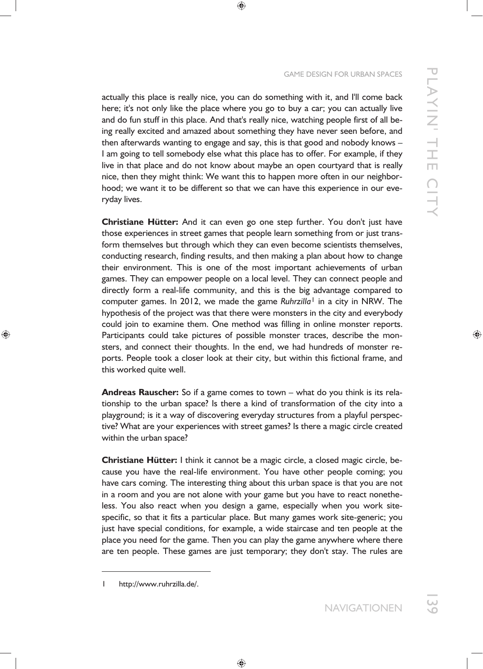## GAME DESIGN FOR URBAN SPACES

actually this place is really nice, you can do something with it, and I'll come back here; it's not only like the place where you go to buy a car; you can actually live and do fun stuff in this place. And that's really nice, watching people first of all being really excited and amazed about something they have never seen before, and then afterwards wanting to engage and say, this is that good and nobody knows – I am going to tell somebody else what this place has to offer. For example, if they live in that place and do not know about maybe an open courtyard that is really nice, then they might think: We want this to happen more often in our neighborhood; we want it to be different so that we can have this experience in our everyday lives.

**Christiane Hütter:** And it can even go one step further. You don't just have those experiences in street games that people learn something from or just transform themselves but through which they can even become scientists themselves, conducting research, finding results, and then making a plan about how to change their environment. This is one of the most important achievements of urban games. They can empower people on a local level. They can connect people and directly form a real-life community, and this is the big advantage compared to computer games. In 2012, we made the game *Ruhrzilla*1 in a city in NRW. The hypothesis of the project was that there were monsters in the city and everybody could join to examine them. One method was filling in online monster reports. Participants could take pictures of possible monster traces, describe the monsters, and connect their thoughts. In the end, we had hundreds of monster reports. People took a closer look at their city, but within this fictional frame, and this worked quite well.

**Andreas Rauscher:** So if a game comes to town – what do you think is its relationship to the urban space? Is there a kind of transformation of the city into a playground; is it a way of discovering everyday structures from a playful perspective? What are your experiences with street games? Is there a magic circle created within the urban space?

**Christiane Hütter:** I think it cannot be a magic circle, a closed magic circle, because you have the real-life environment. You have other people coming; you have cars coming. The interesting thing about this urban space is that you are not in a room and you are not alone with your game but you have to react nonetheless. You also react when you design a game, especially when you work sitespecific, so that it fits a particular place. But many games work site-generic; you just have special conditions, for example, a wide staircase and ten people at the place you need for the game. Then you can play the game anywhere where there are ten people. These games are just temporary; they don't stay. The rules are

<sup>1</sup> http://www.ruhrzilla.de/.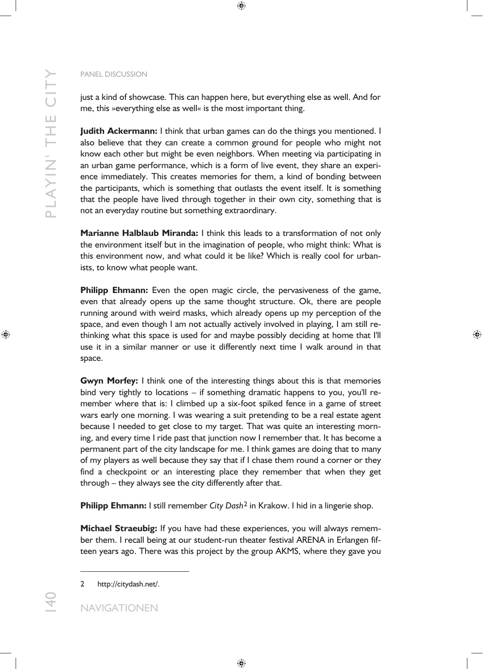just a kind of showcase. This can happen here, but everything else as well. And for me, this »everything else as well« is the most important thing.

**Judith Ackermann:** I think that urban games can do the things you mentioned. I also believe that they can create a common ground for people who might not know each other but might be even neighbors. When meeting via participating in an urban game performance, which is a form of live event, they share an experience immediately. This creates memories for them, a kind of bonding between the participants, which is something that outlasts the event itself. It is something that the people have lived through together in their own city, something that is not an everyday routine but something extraordinary.

**Marianne Halblaub Miranda:** I think this leads to a transformation of not only the environment itself but in the imagination of people, who might think: What is this environment now, and what could it be like? Which is really cool for urbanists, to know what people want.

**Philipp Ehmann:** Even the open magic circle, the pervasiveness of the game, even that already opens up the same thought structure. Ok, there are people running around with weird masks, which already opens up my perception of the space, and even though I am not actually actively involved in playing, I am still rethinking what this space is used for and maybe possibly deciding at home that I'll use it in a similar manner or use it differently next time I walk around in that space.

**Gwyn Morfey:** I think one of the interesting things about this is that memories bind very tightly to locations – if something dramatic happens to you, you'll remember where that is: I climbed up a six-foot spiked fence in a game of street wars early one morning. I was wearing a suit pretending to be a real estate agent because I needed to get close to my target. That was quite an interesting morning, and every time I ride past that junction now I remember that. It has become a permanent part of the city landscape for me. I think games are doing that to many of my players as well because they say that if I chase them round a corner or they find a checkpoint or an interesting place they remember that when they get through – they always see the city differently after that.

**Philipp Ehmann:** I still remember *City Dash*2 in Krakow. I hid in a lingerie shop.

**Michael Straeubig:** If you have had these experiences, you will always remember them. I recall being at our student-run theater festival ARENA in Erlangen fifteen years ago. There was this project by the group AKMS, where they gave you

140

-

<sup>2</sup> http://citydash.net/.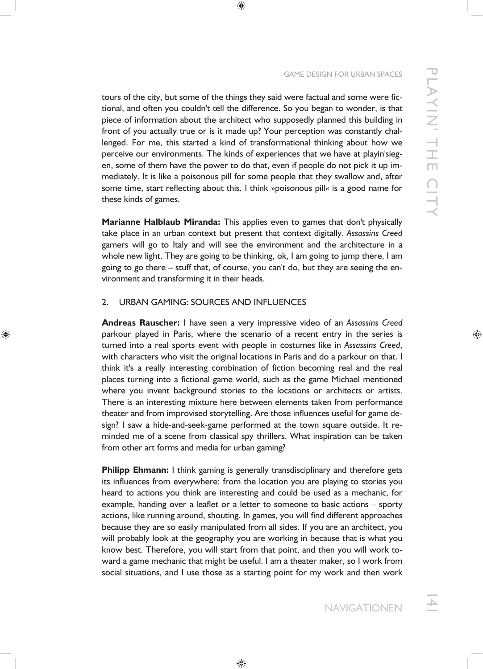tours of the city, but some of the things they said were factual and some were fictional, and often you couldn't tell the difference. So you began to wonder, is that piece of information about the architect who supposedly planned this building in front of you actually true or is it made up? Your perception was constantly challenged. For me, this started a kind of transformational thinking about how we perceive our environments. The kinds of experiences that we have at playin'siegen, some of them have the power to do that, even if people do not pick it up immediately. It is like a poisonous pill for some people that they swallow and, after some time, start reflecting about this. I think »poisonous pill« is a good name for these kinds of games.

**Marianne Halblaub Miranda:** This applies even to games that don't physically take place in an urban context but present that context digitally. *Assassins Creed* gamers will go to Italy and will see the environment and the architecture in a whole new light. They are going to be thinking, ok, I am going to jump there, I am going to go there – stuff that, of course, you can't do, but they are seeing the environment and transforming it in their heads.

## 2. URBAN GAMING: SOURCES AND INFLUENCES

**Andreas Rauscher:** I have seen a very impressive video of an *Assassins Creed* parkour played in Paris, where the scenario of a recent entry in the series is turned into a real sports event with people in costumes like in *Assassins Creed*, with characters who visit the original locations in Paris and do a parkour on that. I think it's a really interesting combination of fiction becoming real and the real places turning into a fictional game world, such as the game Michael mentioned where you invent background stories to the locations or architects or artists. There is an interesting mixture here between elements taken from performance theater and from improvised storytelling. Are those influences useful for game design? I saw a hide-and-seek-game performed at the town square outside. It reminded me of a scene from classical spy thrillers. What inspiration can be taken from other art forms and media for urban gaming?

**Philipp Ehmann:** I think gaming is generally transdisciplinary and therefore gets its influences from everywhere: from the location you are playing to stories you heard to actions you think are interesting and could be used as a mechanic, for example, handing over a leaflet or a letter to someone to basic actions – sporty actions, like running around, shouting. In games, you will find different approaches because they are so easily manipulated from all sides. If you are an architect, you will probably look at the geography you are working in because that is what you know best. Therefore, you will start from that point, and then you will work toward a game mechanic that might be useful. I am a theater maker, so I work from social situations, and I use those as a starting point for my work and then work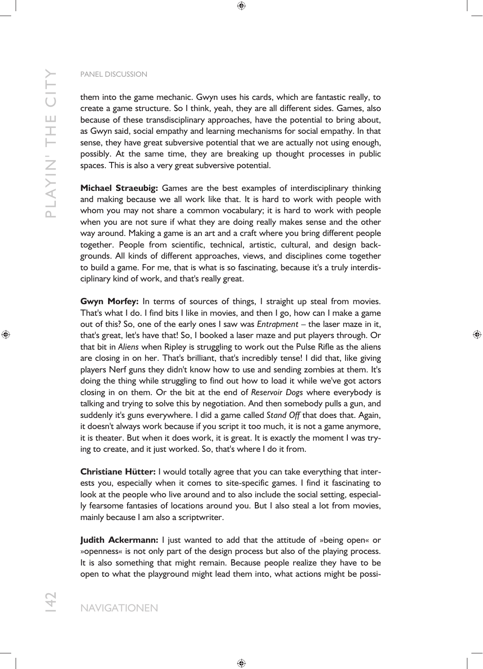P LAYI N' TH E CI TY PLAYIN' THE CITY

#### PANEL DISCUSSION

them into the game mechanic. Gwyn uses his cards, which are fantastic really, to create a game structure. So I think, yeah, they are all different sides. Games, also because of these transdisciplinary approaches, have the potential to bring about, as Gwyn said, social empathy and learning mechanisms for social empathy. In that sense, they have great subversive potential that we are actually not using enough, possibly. At the same time, they are breaking up thought processes in public spaces. This is also a very great subversive potential.

**Michael Straeubig:** Games are the best examples of interdisciplinary thinking and making because we all work like that. It is hard to work with people with whom you may not share a common vocabulary; it is hard to work with people when you are not sure if what they are doing really makes sense and the other way around. Making a game is an art and a craft where you bring different people together. People from scientific, technical, artistic, cultural, and design backgrounds. All kinds of different approaches, views, and disciplines come together to build a game. For me, that is what is so fascinating, because it's a truly interdisciplinary kind of work, and that's really great.

**Gwyn Morfey:** In terms of sources of things, I straight up steal from movies. That's what I do. I find bits I like in movies, and then I go, how can I make a game out of this? So, one of the early ones I saw was *Entrapment* – the laser maze in it, that's great, let's have that! So, I booked a laser maze and put players through. Or that bit in *Aliens* when Ripley is struggling to work out the Pulse Rifle as the aliens are closing in on her. That's brilliant, that's incredibly tense! I did that, like giving players Nerf guns they didn't know how to use and sending zombies at them. It's doing the thing while struggling to find out how to load it while we've got actors closing in on them. Or the bit at the end of *Reservoir Dogs* where everybody is talking and trying to solve this by negotiation. And then somebody pulls a gun, and suddenly it's guns everywhere. I did a game called *Stand Off* that does that. Again, it doesn't always work because if you script it too much, it is not a game anymore, it is theater. But when it does work, it is great. It is exactly the moment I was trying to create, and it just worked. So, that's where I do it from.

**Christiane Hütter:** I would totally agree that you can take everything that interests you, especially when it comes to site-specific games. I find it fascinating to look at the people who live around and to also include the social setting, especially fearsome fantasies of locations around you. But I also steal a lot from movies, mainly because I am also a scriptwriter.

**Judith Ackermann:** I just wanted to add that the attitude of »being open« or »openness« is not only part of the design process but also of the playing process. It is also something that might remain. Because people realize they have to be open to what the playground might lead them into, what actions might be possi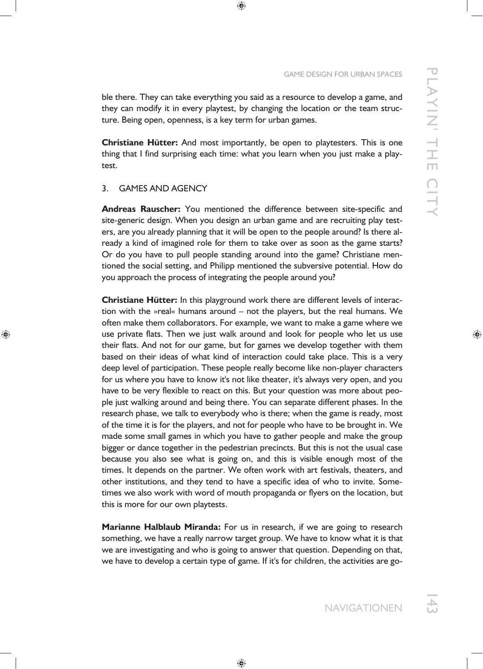ble there. They can take everything you said as a resource to develop a game, and they can modify it in every playtest, by changing the location or the team structure. Being open, openness, is a key term for urban games.

**Christiane Hütter:** And most importantly, be open to playtesters. This is one thing that I find surprising each time: what you learn when you just make a playtest.

## 3. GAMES AND AGENCY

**Andreas Rauscher:** You mentioned the difference between site-specific and site-generic design. When you design an urban game and are recruiting play testers, are you already planning that it will be open to the people around? Is there already a kind of imagined role for them to take over as soon as the game starts? Or do you have to pull people standing around into the game? Christiane mentioned the social setting, and Philipp mentioned the subversive potential. How do you approach the process of integrating the people around you?

**Christiane Hütter:** In this playground work there are different levels of interaction with the »real« humans around – not the players, but the real humans. We often make them collaborators. For example, we want to make a game where we use private flats. Then we just walk around and look for people who let us use their flats. And not for our game, but for games we develop together with them based on their ideas of what kind of interaction could take place. This is a very deep level of participation. These people really become like non-player characters for us where you have to know it's not like theater, it's always very open, and you have to be very flexible to react on this. But your question was more about people just walking around and being there. You can separate different phases. In the research phase, we talk to everybody who is there; when the game is ready, most of the time it is for the players, and not for people who have to be brought in. We made some small games in which you have to gather people and make the group bigger or dance together in the pedestrian precincts. But this is not the usual case because you also see what is going on, and this is visible enough most of the times. It depends on the partner. We often work with art festivals, theaters, and other institutions, and they tend to have a specific idea of who to invite. Sometimes we also work with word of mouth propaganda or flyers on the location, but this is more for our own playtests.

**Marianne Halblaub Miranda:** For us in research, if we are going to research something, we have a really narrow target group. We have to know what it is that we are investigating and who is going to answer that question. Depending on that, we have to develop a certain type of game. If it's for children, the activities are go-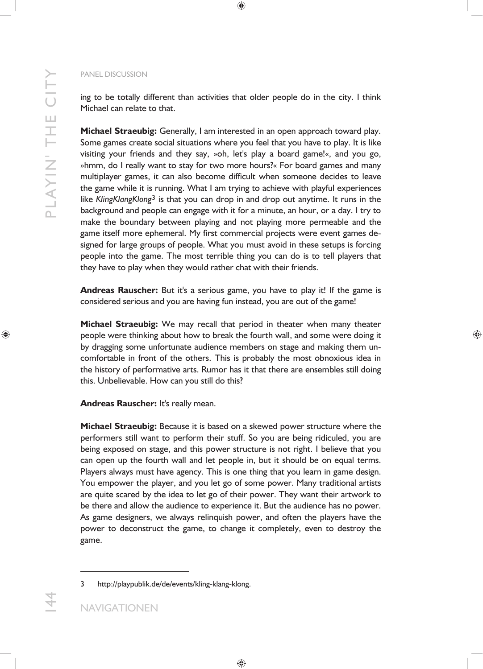P LAYI N' TH E CI TY

PLAYIN' THE CITY

ing to be totally different than activities that older people do in the city. I think Michael can relate to that.

**Michael Straeubig:** Generally, I am interested in an open approach toward play. Some games create social situations where you feel that you have to play. It is like visiting your friends and they say, »oh, let's play a board game!«, and you go, »hmm, do I really want to stay for two more hours?« For board games and many multiplayer games, it can also become difficult when someone decides to leave the game while it is running. What I am trying to achieve with playful experiences like *KlingKlangKlong*3 is that you can drop in and drop out anytime. It runs in the background and people can engage with it for a minute, an hour, or a day. I try to make the boundary between playing and not playing more permeable and the game itself more ephemeral. My first commercial projects were event games designed for large groups of people. What you must avoid in these setups is forcing people into the game. The most terrible thing you can do is to tell players that they have to play when they would rather chat with their friends.

**Andreas Rauscher:** But it's a serious game, you have to play it! If the game is considered serious and you are having fun instead, you are out of the game!

**Michael Straeubig:** We may recall that period in theater when many theater people were thinking about how to break the fourth wall, and some were doing it by dragging some unfortunate audience members on stage and making them uncomfortable in front of the others. This is probably the most obnoxious idea in the history of performative arts. Rumor has it that there are ensembles still doing this. Unbelievable. How can you still do this?

**Andreas Rauscher:** It's really mean.

**Michael Straeubig:** Because it is based on a skewed power structure where the performers still want to perform their stuff. So you are being ridiculed, you are being exposed on stage, and this power structure is not right. I believe that you can open up the fourth wall and let people in, but it should be on equal terms. Players always must have agency. This is one thing that you learn in game design. You empower the player, and you let go of some power. Many traditional artists are quite scared by the idea to let go of their power. They want their artwork to be there and allow the audience to experience it. But the audience has no power. As game designers, we always relinquish power, and often the players have the power to deconstruct the game, to change it completely, even to destroy the game.

-

<sup>3</sup> http://playpublik.de/de/events/kling-klang-klong.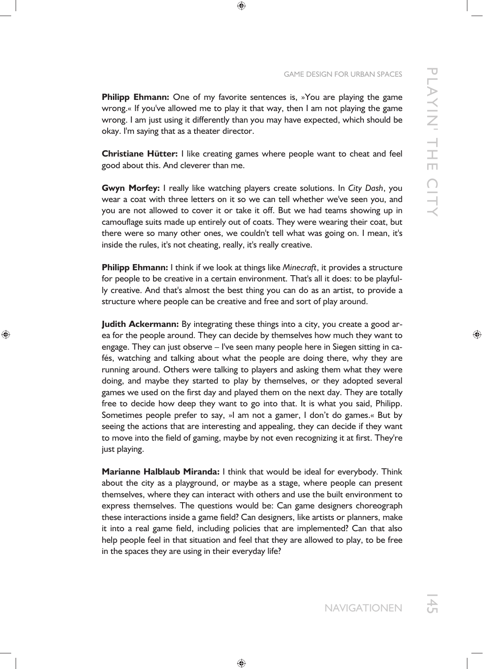**Philipp Ehmann:** One of my favorite sentences is, »You are playing the game wrong.« If you've allowed me to play it that way, then I am not playing the game wrong. I am just using it differently than you may have expected, which should be okay. I'm saying that as a theater director.

**Christiane Hütter:** I like creating games where people want to cheat and feel good about this. And cleverer than me.

**Gwyn Morfey:** I really like watching players create solutions. In *City Dash*, you wear a coat with three letters on it so we can tell whether we've seen you, and you are not allowed to cover it or take it off. But we had teams showing up in camouflage suits made up entirely out of coats. They were wearing their coat, but there were so many other ones, we couldn't tell what was going on. I mean, it's inside the rules, it's not cheating, really, it's really creative.

**Philipp Ehmann:** I think if we look at things like *Minecraft*, it provides a structure for people to be creative in a certain environment. That's all it does: to be playfully creative. And that's almost the best thing you can do as an artist, to provide a structure where people can be creative and free and sort of play around.

**Judith Ackermann:** By integrating these things into a city, you create a good area for the people around. They can decide by themselves how much they want to engage. They can just observe – I've seen many people here in Siegen sitting in cafés, watching and talking about what the people are doing there, why they are running around. Others were talking to players and asking them what they were doing, and maybe they started to play by themselves, or they adopted several games we used on the first day and played them on the next day. They are totally free to decide how deep they want to go into that. It is what you said, Philipp. Sometimes people prefer to say, »I am not a gamer, I don't do games.« But by seeing the actions that are interesting and appealing, they can decide if they want to move into the field of gaming, maybe by not even recognizing it at first. They're just playing.

**Marianne Halblaub Miranda:** I think that would be ideal for everybody. Think about the city as a playground, or maybe as a stage, where people can present themselves, where they can interact with others and use the built environment to express themselves. The questions would be: Can game designers choreograph these interactions inside a game field? Can designers, like artists or planners, make it into a real game field, including policies that are implemented? Can that also help people feel in that situation and feel that they are allowed to play, to be free in the spaces they are using in their everyday life?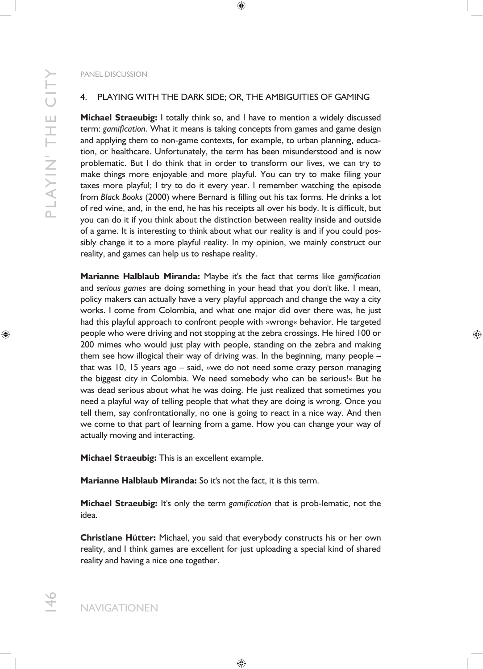## 4. PLAYING WITH THE DARK SIDE; OR, THE AMBIGUITIES OF GAMING

**Michael Straeubig:** I totally think so, and I have to mention a widely discussed term: *gamification*. What it means is taking concepts from games and game design and applying them to non-game contexts, for example, to urban planning, education, or healthcare. Unfortunately, the term has been misunderstood and is now problematic. But I do think that in order to transform our lives, we can try to make things more enjoyable and more playful. You can try to make filing your taxes more playful; I try to do it every year. I remember watching the episode from *Black Books* (2000) where Bernard is filling out his tax forms. He drinks a lot of red wine, and, in the end, he has his receipts all over his body. It is difficult, but you can do it if you think about the distinction between reality inside and outside of a game. It is interesting to think about what our reality is and if you could possibly change it to a more playful reality. In my opinion, we mainly construct our reality, and games can help us to reshape reality.

**Marianne Halblaub Miranda:** Maybe it's the fact that terms like *gamification* and *serious games* are doing something in your head that you don't like. I mean, policy makers can actually have a very playful approach and change the way a city works. I come from Colombia, and what one major did over there was, he just had this playful approach to confront people with »wrong« behavior. He targeted people who were driving and not stopping at the zebra crossings. He hired 100 or 200 mimes who would just play with people, standing on the zebra and making them see how illogical their way of driving was. In the beginning, many people – that was 10, 15 years ago – said, »we do not need some crazy person managing the biggest city in Colombia. We need somebody who can be serious!« But he was dead serious about what he was doing. He just realized that sometimes you need a playful way of telling people that what they are doing is wrong. Once you tell them, say confrontationally, no one is going to react in a nice way. And then we come to that part of learning from a game. How you can change your way of actually moving and interacting.

**Michael Straeubig:** This is an excellent example.

**Marianne Halblaub Miranda:** So it's not the fact, it is this term.

**Michael Straeubig:** It's only the term *gamification* that is prob-lematic, not the idea.

**Christiane Hütter:** Michael, you said that everybody constructs his or her own reality, and I think games are excellent for just uploading a special kind of shared reality and having a nice one together.

146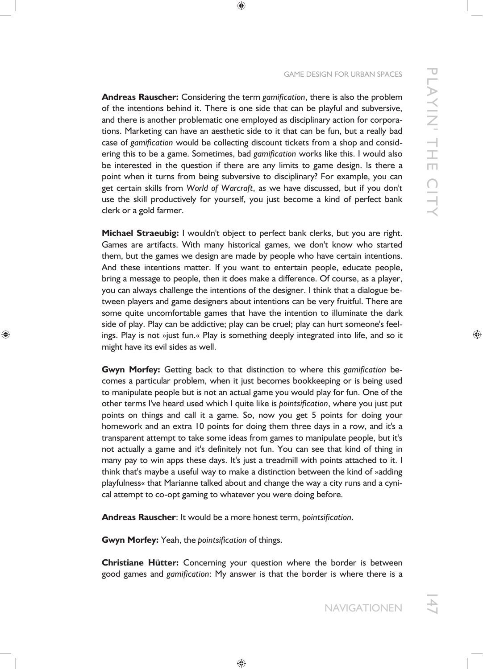#### GAME DESIGN FOR URBAN SPACES

**Andreas Rauscher:** Considering the term *gamification*, there is also the problem of the intentions behind it. There is one side that can be playful and subversive, and there is another problematic one employed as disciplinary action for corporations. Marketing can have an aesthetic side to it that can be fun, but a really bad case of *gamification* would be collecting discount tickets from a shop and considering this to be a game. Sometimes, bad *gamification* works like this. I would also be interested in the question if there are any limits to game design. Is there a point when it turns from being subversive to disciplinary? For example, you can get certain skills from *World of Warcraft*, as we have discussed, but if you don't use the skill productively for yourself, you just become a kind of perfect bank clerk or a gold farmer.

**Michael Straeubig:** I wouldn't object to perfect bank clerks, but you are right. Games are artifacts. With many historical games, we don't know who started them, but the games we design are made by people who have certain intentions. And these intentions matter. If you want to entertain people, educate people, bring a message to people, then it does make a difference. Of course, as a player, you can always challenge the intentions of the designer. I think that a dialogue between players and game designers about intentions can be very fruitful. There are some quite uncomfortable games that have the intention to illuminate the dark side of play. Play can be addictive; play can be cruel; play can hurt someone's feelings. Play is not »just fun.« Play is something deeply integrated into life, and so it might have its evil sides as well.

**Gwyn Morfey:** Getting back to that distinction to where this *gamification* becomes a particular problem, when it just becomes bookkeeping or is being used to manipulate people but is not an actual game you would play for fun. One of the other terms I've heard used which I quite like is *pointsification*, where you just put points on things and call it a game. So, now you get 5 points for doing your homework and an extra 10 points for doing them three days in a row, and it's a transparent attempt to take some ideas from games to manipulate people, but it's not actually a game and it's definitely not fun. You can see that kind of thing in many pay to win apps these days. It's just a treadmill with points attached to it. I think that's maybe a useful way to make a distinction between the kind of »adding playfulness« that Marianne talked about and change the way a city runs and a cynical attempt to co-opt gaming to whatever you were doing before.

**Andreas Rauscher**: It would be a more honest term, *pointsification*.

**Gwyn Morfey:** Yeah, the *pointsification* of things.

**Christiane Hütter:** Concerning your question where the border is between good games and *gamification*: My answer is that the border is where there is a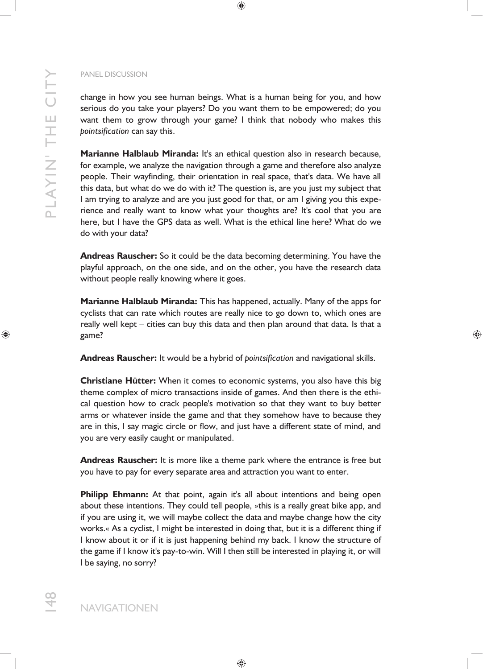P LAYI N' TH E CI TY PLAYIN' THE CITY

## PANEL DISCUSSION

change in how you see human beings. What is a human being for you, and how serious do you take your players? Do you want them to be empowered; do you want them to grow through your game? I think that nobody who makes this *pointsification* can say this.

**Marianne Halblaub Miranda:** It's an ethical question also in research because, for example, we analyze the navigation through a game and therefore also analyze people. Their wayfinding, their orientation in real space, that's data. We have all this data, but what do we do with it? The question is, are you just my subject that I am trying to analyze and are you just good for that, or am I giving you this experience and really want to know what your thoughts are? It's cool that you are here, but I have the GPS data as well. What is the ethical line here? What do we do with your data?

**Andreas Rauscher:** So it could be the data becoming determining. You have the playful approach, on the one side, and on the other, you have the research data without people really knowing where it goes.

**Marianne Halblaub Miranda:** This has happened, actually. Many of the apps for cyclists that can rate which routes are really nice to go down to, which ones are really well kept – cities can buy this data and then plan around that data. Is that a game?

**Andreas Rauscher:** It would be a hybrid of *pointsification* and navigational skills.

**Christiane Hütter:** When it comes to economic systems, you also have this big theme complex of micro transactions inside of games. And then there is the ethical question how to crack people's motivation so that they want to buy better arms or whatever inside the game and that they somehow have to because they are in this, I say magic circle or flow, and just have a different state of mind, and you are very easily caught or manipulated.

**Andreas Rauscher:** It is more like a theme park where the entrance is free but you have to pay for every separate area and attraction you want to enter.

**Philipp Ehmann:** At that point, again it's all about intentions and being open about these intentions. They could tell people, »this is a really great bike app, and if you are using it, we will maybe collect the data and maybe change how the city works.« As a cyclist, I might be interested in doing that, but it is a different thing if I know about it or if it is just happening behind my back. I know the structure of the game if I know it's pay-to-win. Will I then still be interested in playing it, or will I be saying, no sorry?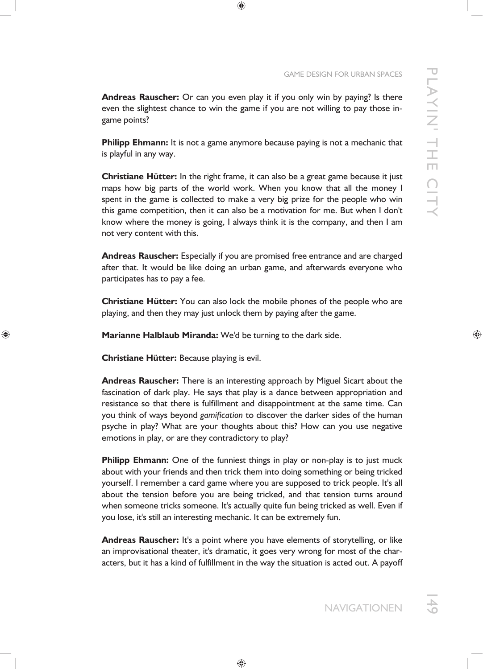**Andreas Rauscher:** Or can you even play it if you only win by paying? Is there even the slightest chance to win the game if you are not willing to pay those ingame points?

**Philipp Ehmann:** It is not a game anymore because paying is not a mechanic that is playful in any way.

**Christiane Hütter:** In the right frame, it can also be a great game because it just maps how big parts of the world work. When you know that all the money I spent in the game is collected to make a very big prize for the people who win this game competition, then it can also be a motivation for me. But when I don't know where the money is going, I always think it is the company, and then I am not very content with this.

**Andreas Rauscher:** Especially if you are promised free entrance and are charged after that. It would be like doing an urban game, and afterwards everyone who participates has to pay a fee.

**Christiane Hütter:** You can also lock the mobile phones of the people who are playing, and then they may just unlock them by paying after the game.

**Marianne Halblaub Miranda:** We'd be turning to the dark side.

**Christiane Hütter:** Because playing is evil.

**Andreas Rauscher:** There is an interesting approach by Miguel Sicart about the fascination of dark play. He says that play is a dance between appropriation and resistance so that there is fulfillment and disappointment at the same time. Can you think of ways beyond *gamification* to discover the darker sides of the human psyche in play? What are your thoughts about this? How can you use negative emotions in play, or are they contradictory to play?

**Philipp Ehmann:** One of the funniest things in play or non-play is to just muck about with your friends and then trick them into doing something or being tricked yourself. I remember a card game where you are supposed to trick people. It's all about the tension before you are being tricked, and that tension turns around when someone tricks someone. It's actually quite fun being tricked as well. Even if you lose, it's still an interesting mechanic. It can be extremely fun.

**Andreas Rauscher:** It's a point where you have elements of storytelling, or like an improvisational theater, it's dramatic, it goes very wrong for most of the characters, but it has a kind of fulfillment in the way the situation is acted out. A payoff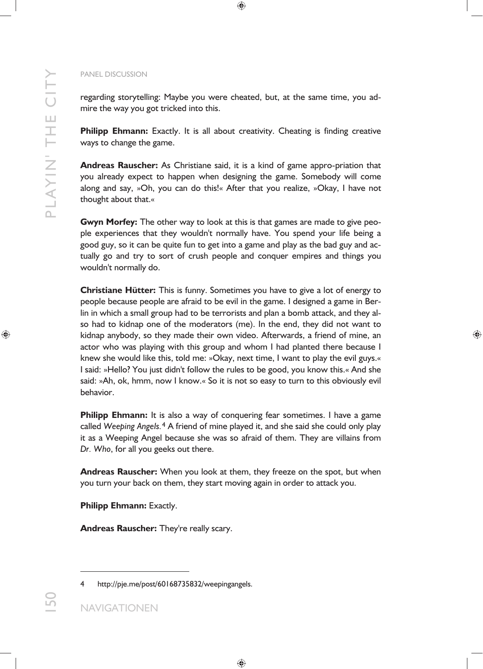regarding storytelling: Maybe you were cheated, but, at the same time, you admire the way you got tricked into this.

**Philipp Ehmann:** Exactly. It is all about creativity. Cheating is finding creative ways to change the game.

**Andreas Rauscher:** As Christiane said, it is a kind of game appro-priation that you already expect to happen when designing the game. Somebody will come along and say, »Oh, you can do this!« After that you realize, »Okay, I have not thought about that.«

**Gwyn Morfey:** The other way to look at this is that games are made to give people experiences that they wouldn't normally have. You spend your life being a good guy, so it can be quite fun to get into a game and play as the bad guy and actually go and try to sort of crush people and conquer empires and things you wouldn't normally do.

**Christiane Hütter:** This is funny. Sometimes you have to give a lot of energy to people because people are afraid to be evil in the game. I designed a game in Berlin in which a small group had to be terrorists and plan a bomb attack, and they also had to kidnap one of the moderators (me). In the end, they did not want to kidnap anybody, so they made their own video. Afterwards, a friend of mine, an actor who was playing with this group and whom I had planted there because I knew she would like this, told me: »Okay, next time, I want to play the evil guys.« I said: »Hello? You just didn't follow the rules to be good, you know this.« And she said: »Ah, ok, hmm, now I know.« So it is not so easy to turn to this obviously evil behavior.

**Philipp Ehmann:** It is also a way of conquering fear sometimes. I have a game called *Weeping Angels.*4 A friend of mine played it, and she said she could only play it as a Weeping Angel because she was so afraid of them. They are villains from *Dr. Who*, for all you geeks out there.

**Andreas Rauscher:** When you look at them, they freeze on the spot, but when you turn your back on them, they start moving again in order to attack you.

**Philipp Ehmann: Exactly.** 

**Andreas Rauscher:** They're really scary.

-

<sup>4</sup> http://pje.me/post/60168735832/weepingangels.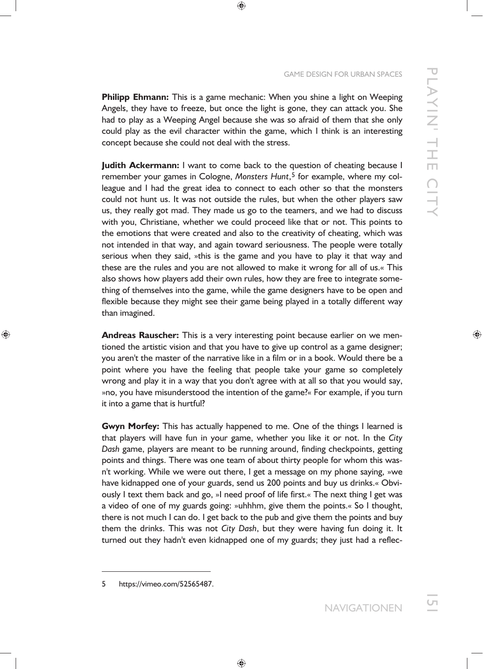**Philipp Ehmann:** This is a game mechanic: When you shine a light on Weeping Angels, they have to freeze, but once the light is gone, they can attack you. She had to play as a Weeping Angel because she was so afraid of them that she only could play as the evil character within the game, which I think is an interesting concept because she could not deal with the stress.

**Judith Ackermann:** I want to come back to the question of cheating because I remember your games in Cologne, Monsters Hunt,<sup>5</sup> for example, where my colleague and I had the great idea to connect to each other so that the monsters could not hunt us. It was not outside the rules, but when the other players saw us, they really got mad. They made us go to the teamers, and we had to discuss with you, Christiane, whether we could proceed like that or not. This points to the emotions that were created and also to the creativity of cheating, which was not intended in that way, and again toward seriousness. The people were totally serious when they said, »this is the game and you have to play it that way and these are the rules and you are not allowed to make it wrong for all of us.« This also shows how players add their own rules, how they are free to integrate something of themselves into the game, while the game designers have to be open and flexible because they might see their game being played in a totally different way than imagined.

**Andreas Rauscher:** This is a very interesting point because earlier on we mentioned the artistic vision and that you have to give up control as a game designer; you aren't the master of the narrative like in a film or in a book. Would there be a point where you have the feeling that people take your game so completely wrong and play it in a way that you don't agree with at all so that you would say, »no, you have misunderstood the intention of the game?« For example, if you turn it into a game that is hurtful?

**Gwyn Morfey:** This has actually happened to me. One of the things I learned is that players will have fun in your game, whether you like it or not. In the *City Dash* game, players are meant to be running around, finding checkpoints, getting points and things. There was one team of about thirty people for whom this wasn't working. While we were out there, I get a message on my phone saying, »we have kidnapped one of your guards, send us 200 points and buy us drinks.« Obviously I text them back and go, »I need proof of life first.« The next thing I get was a video of one of my guards going: »uhhhm, give them the points.« So I thought, there is not much I can do. I get back to the pub and give them the points and buy them the drinks. This was not *City Dash*, but they were having fun doing it. It turned out they hadn't even kidnapped one of my guards; they just had a reflec-

<sup>5</sup> https://vimeo.com/52565487.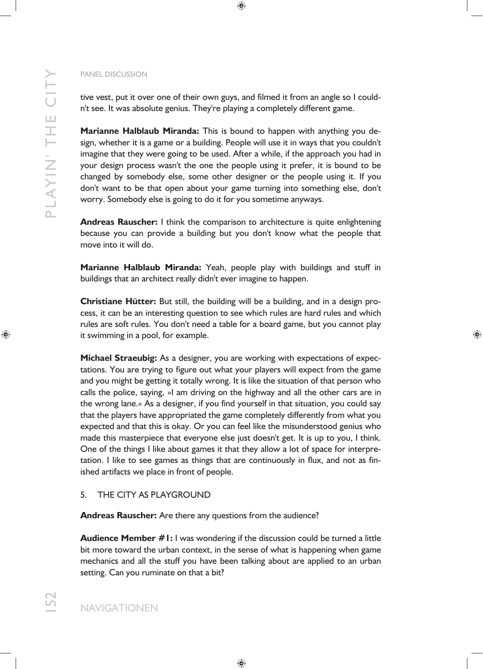tive vest, put it over one of their own guys, and filmed it from an angle so I couldn't see. It was absolute genius. They're playing a completely different game.

**Marianne Halblaub Miranda:** This is bound to happen with anything you design, whether it is a game or a building. People will use it in ways that you couldn't imagine that they were going to be used. After a while, if the approach you had in your design process wasn't the one the people using it prefer, it is bound to be changed by somebody else, some other designer or the people using it. If you don't want to be that open about your game turning into something else, don't worry. Somebody else is going to do it for you sometime anyways.

**Andreas Rauscher:** I think the comparison to architecture is quite enlightening because you can provide a building but you don't know what the people that move into it will do.

**Marianne Halblaub Miranda:** Yeah, people play with buildings and stuff in buildings that an architect really didn't ever imagine to happen.

**Christiane Hütter:** But still, the building will be a building, and in a design process, it can be an interesting question to see which rules are hard rules and which rules are soft rules. You don't need a table for a board game, but you cannot play it swimming in a pool, for example.

**Michael Straeubig:** As a designer, you are working with expectations of expectations. You are trying to figure out what your players will expect from the game and you might be getting it totally wrong. It is like the situation of that person who calls the police, saying, »I am driving on the highway and all the other cars are in the wrong lane.« As a designer, if you find yourself in that situation, you could say that the players have appropriated the game completely differently from what you expected and that this is okay. Or you can feel like the misunderstood genius who made this masterpiece that everyone else just doesn't get. It is up to you, I think. One of the things I like about games it that they allow a lot of space for interpretation. I like to see games as things that are continuously in flux, and not as finished artifacts we place in front of people.

## 5. THE CITY AS PLAYGROUND

**Andreas Rauscher:** Are there any questions from the audience?

**Audience Member #1:** I was wondering if the discussion could be turned a little bit more toward the urban context, in the sense of what is happening when game mechanics and all the stuff you have been talking about are applied to an urban setting. Can you ruminate on that a bit?

152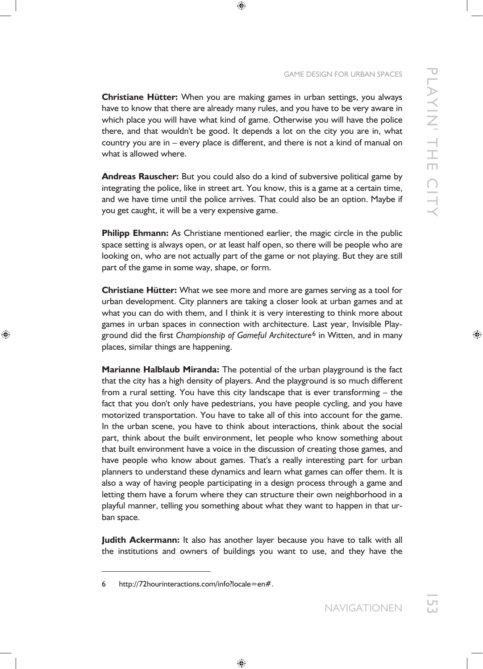**Christiane Hütter:** When you are making games in urban settings, you always have to know that there are already many rules, and you have to be very aware in which place you will have what kind of game. Otherwise you will have the police there, and that wouldn't be good. It depends a lot on the city you are in, what country you are in – every place is different, and there is not a kind of manual on what is allowed where.

**Andreas Rauscher:** But you could also do a kind of subversive political game by integrating the police, like in street art. You know, this is a game at a certain time, and we have time until the police arrives. That could also be an option. Maybe if you get caught, it will be a very expensive game.

**Philipp Ehmann:** As Christiane mentioned earlier, the magic circle in the public space setting is always open, or at least half open, so there will be people who are looking on, who are not actually part of the game or not playing. But they are still part of the game in some way, shape, or form.

**Christiane Hütter:** What we see more and more are games serving as a tool for urban development. City planners are taking a closer look at urban games and at what you can do with them, and I think it is very interesting to think more about games in urban spaces in connection with architecture. Last year, Invisible Playground did the first *Championship of Gameful Architecture*6 in Witten, and in many places, similar things are happening.

**Marianne Halblaub Miranda:** The potential of the urban playground is the fact that the city has a high density of players. And the playground is so much different from a rural setting. You have this city landscape that is ever transforming – the fact that you don't only have pedestrians, you have people cycling, and you have motorized transportation. You have to take all of this into account for the game. In the urban scene, you have to think about interactions, think about the social part, think about the built environment, let people who know something about that built environment have a voice in the discussion of creating those games, and have people who know about games. That's a really interesting part for urban planners to understand these dynamics and learn what games can offer them. It is also a way of having people participating in a design process through a game and letting them have a forum where they can structure their own neighborhood in a playful manner, telling you something about what they want to happen in that urban space.

**Judith Ackermann:** It also has another layer because you have to talk with all the institutions and owners of buildings you want to use, and they have the

<sup>6</sup> http://72hourinteractions.com/info?locale=en#.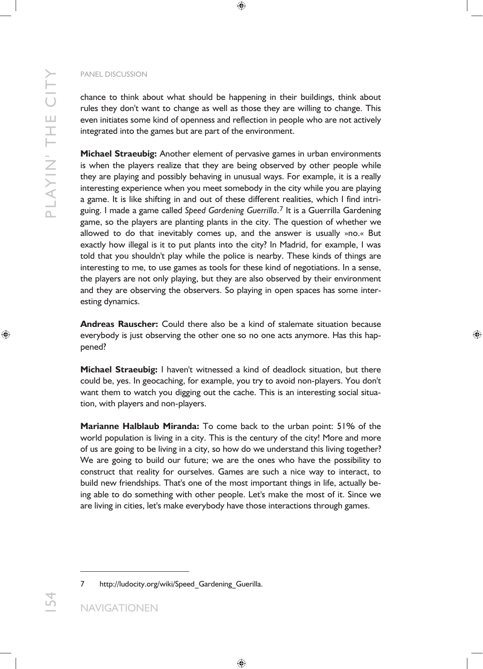chance to think about what should be happening in their buildings, think about rules they don't want to change as well as those they are willing to change. This even initiates some kind of openness and reflection in people who are not actively integrated into the games but are part of the environment.

**Michael Straeubig:** Another element of pervasive games in urban environments is when the players realize that they are being observed by other people while they are playing and possibly behaving in unusual ways. For example, it is a really interesting experience when you meet somebody in the city while you are playing a game. It is like shifting in and out of these different realities, which I find intriguing. I made a game called *Speed Gardening Guerrilla*.7 It is a Guerrilla Gardening game, so the players are planting plants in the city. The question of whether we allowed to do that inevitably comes up, and the answer is usually »no.« But exactly how illegal is it to put plants into the city? In Madrid, for example, I was told that you shouldn't play while the police is nearby. These kinds of things are interesting to me, to use games as tools for these kind of negotiations. In a sense, the players are not only playing, but they are also observed by their environment and they are observing the observers. So playing in open spaces has some interesting dynamics.

**Andreas Rauscher:** Could there also be a kind of stalemate situation because everybody is just observing the other one so no one acts anymore. Has this happened?

**Michael Straeubig:** I haven't witnessed a kind of deadlock situation, but there could be, yes. In geocaching, for example, you try to avoid non-players. You don't want them to watch you digging out the cache. This is an interesting social situation, with players and non-players.

**Marianne Halblaub Miranda:** To come back to the urban point: 51% of the world population is living in a city. This is the century of the city! More and more of us are going to be living in a city, so how do we understand this living together? We are going to build our future; we are the ones who have the possibility to construct that reality for ourselves. Games are such a nice way to interact, to build new friendships. That's one of the most important things in life, actually being able to do something with other people. Let's make the most of it. Since we are living in cities, let's make everybody have those interactions through games.

-

<sup>7</sup> http://ludocity.org/wiki/Speed\_Gardening\_Guerilla.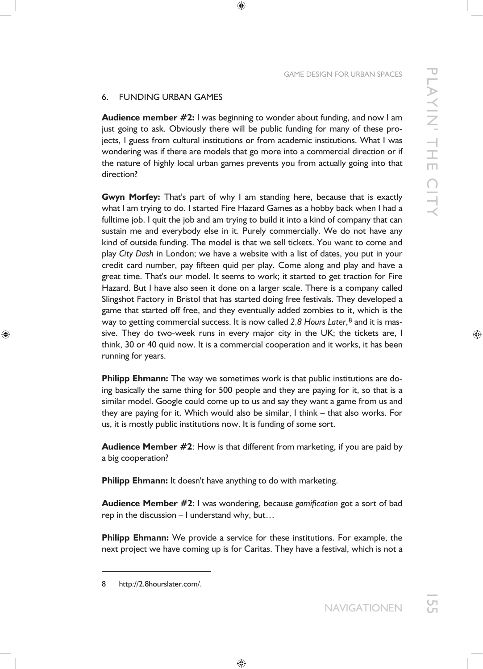## 6. FUNDING URBAN GAMES

**Audience member #2:** I was beginning to wonder about funding, and now I am just going to ask. Obviously there will be public funding for many of these projects, I guess from cultural institutions or from academic institutions. What I was wondering was if there are models that go more into a commercial direction or if the nature of highly local urban games prevents you from actually going into that direction?

**Gwyn Morfey:** That's part of why I am standing here, because that is exactly what I am trying to do. I started Fire Hazard Games as a hobby back when I had a fulltime job. I quit the job and am trying to build it into a kind of company that can sustain me and everybody else in it. Purely commercially. We do not have any kind of outside funding. The model is that we sell tickets. You want to come and play *City Dash* in London; we have a website with a list of dates, you put in your credit card number, pay fifteen quid per play. Come along and play and have a great time. That's our model. It seems to work; it started to get traction for Fire Hazard. But I have also seen it done on a larger scale. There is a company called Slingshot Factory in Bristol that has started doing free festivals. They developed a game that started off free, and they eventually added zombies to it, which is the way to getting commercial success. It is now called *2.8 Hours Later*,8 and it is massive. They do two-week runs in every major city in the UK; the tickets are, I think, 30 or 40 quid now. It is a commercial cooperation and it works, it has been running for years.

**Philipp Ehmann:** The way we sometimes work is that public institutions are doing basically the same thing for 500 people and they are paying for it, so that is a similar model. Google could come up to us and say they want a game from us and they are paying for it. Which would also be similar, I think – that also works. For us, it is mostly public institutions now. It is funding of some sort.

**Audience Member #2**: How is that different from marketing, if you are paid by a big cooperation?

**Philipp Ehmann:** It doesn't have anything to do with marketing.

**Audience Member #2**: I was wondering, because *gamification* got a sort of bad rep in the discussion – I understand why, but…

**Philipp Ehmann:** We provide a service for these institutions. For example, the next project we have coming up is for Caritas. They have a festival, which is not a

<sup>8</sup> http*://*2.8hourslater.com/.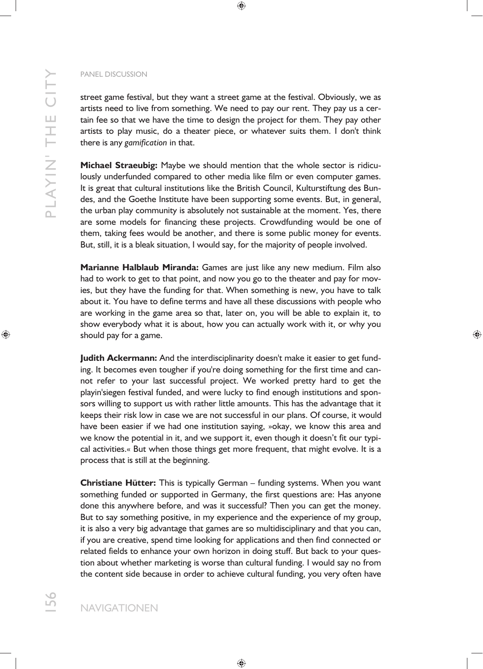street game festival, but they want a street game at the festival. Obviously, we as artists need to live from something. We need to pay our rent. They pay us a certain fee so that we have the time to design the project for them. They pay other artists to play music, do a theater piece, or whatever suits them. I don't think there is any *gamification* in that.

**Michael Straeubig:** Maybe we should mention that the whole sector is ridiculously underfunded compared to other media like film or even computer games. It is great that cultural institutions like the British Council, Kulturstiftung des Bundes, and the Goethe Institute have been supporting some events. But, in general, the urban play community is absolutely not sustainable at the moment. Yes, there are some models for financing these projects. Crowdfunding would be one of them, taking fees would be another, and there is some public money for events. But, still, it is a bleak situation, I would say, for the majority of people involved.

**Marianne Halblaub Miranda:** Games are just like any new medium. Film also had to work to get to that point, and now you go to the theater and pay for movies, but they have the funding for that. When something is new, you have to talk about it. You have to define terms and have all these discussions with people who are working in the game area so that, later on, you will be able to explain it, to show everybody what it is about, how you can actually work with it, or why you should pay for a game.

**Judith Ackermann:** And the interdisciplinarity doesn't make it easier to get funding. It becomes even tougher if you're doing something for the first time and cannot refer to your last successful project. We worked pretty hard to get the playin'siegen festival funded, and were lucky to find enough institutions and sponsors willing to support us with rather little amounts. This has the advantage that it keeps their risk low in case we are not successful in our plans. Of course, it would have been easier if we had one institution saying, »okay, we know this area and we know the potential in it, and we support it, even though it doesn't fit our typical activities.« But when those things get more frequent, that might evolve. It is a process that is still at the beginning.

**Christiane Hütter:** This is typically German – funding systems. When you want something funded or supported in Germany, the first questions are: Has anyone done this anywhere before, and was it successful? Then you can get the money. But to say something positive, in my experience and the experience of my group, it is also a very big advantage that games are so multidisciplinary and that you can, if you are creative, spend time looking for applications and then find connected or related fields to enhance your own horizon in doing stuff. But back to your question about whether marketing is worse than cultural funding. I would say no from the content side because in order to achieve cultural funding, you very often have